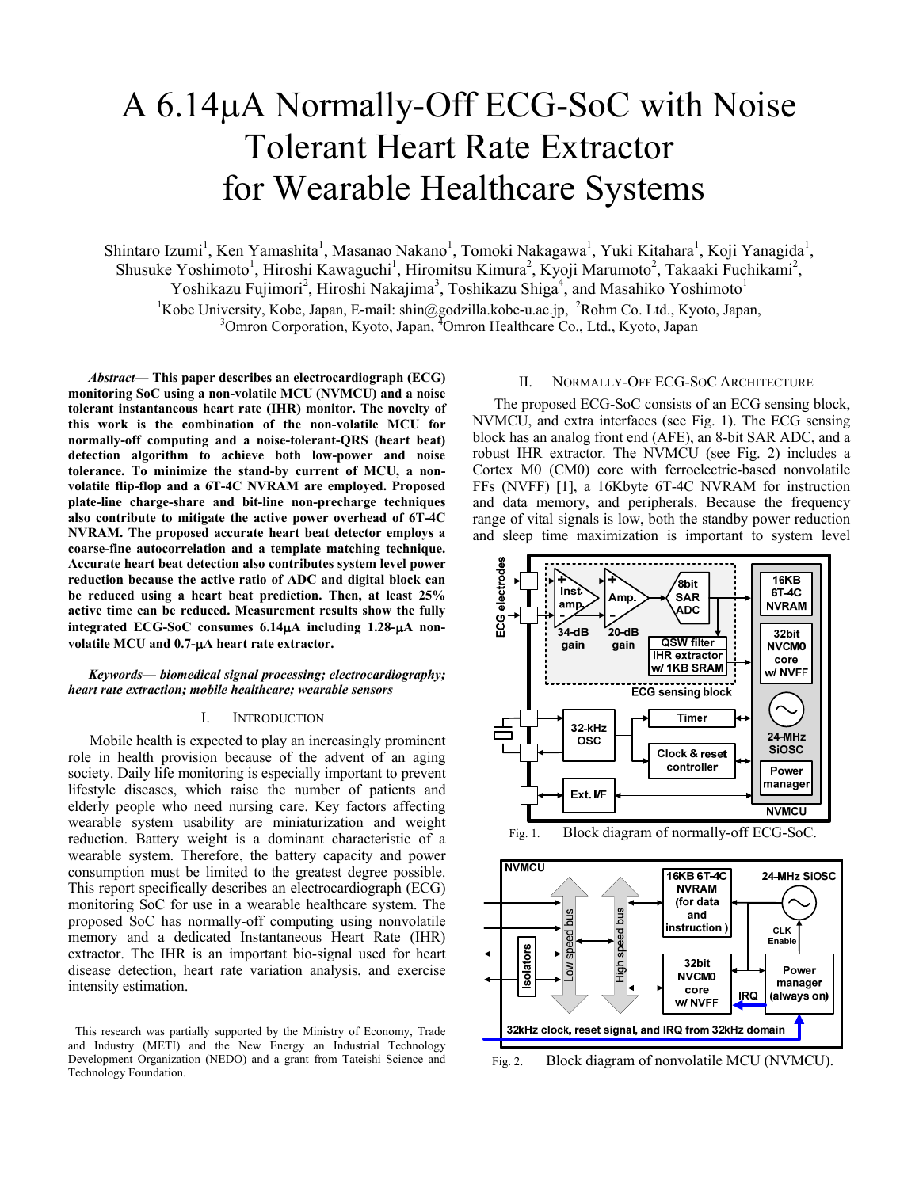# A 6.14µA Normally-Off ECG-SoC with Noise Tolerant Heart Rate Extractor for Wearable Healthcare Systems

Shintaro Izumi<sup>1</sup>, Ken Yamashita<sup>1</sup>, Masanao Nakano<sup>1</sup>, Tomoki Nakagawa<sup>1</sup>, Yuki Kitahara<sup>1</sup>, Koji Yanagida<sup>1</sup>, Shusuke Yoshimoto<sup>1</sup>, Hiroshi Kawaguchi<sup>1</sup>, Hiromitsu Kimura<sup>2</sup>, Kyoji Marumoto<sup>2</sup>, Takaaki Fuchikami<sup>2</sup>, Yoshikazu Fujimori<sup>2</sup>, Hiroshi Nakajima<sup>3</sup>, Toshikazu Shiga<sup>4</sup>, and Masahiko Yoshimoto<sup>1</sup>

<sup>1</sup>Kobe University, Kobe, Japan, E-mail: shin@godzilla.kobe-u.ac.jp, <sup>2</sup>Rohm Co. Ltd., Kyoto, Japan, <sup>3</sup>Omron Corporation, Kyoto, Japan, <sup>4</sup>Omron Hoalthears Co., Ltd., Kyoto, Japan, Omron Corporation, Kyoto, Japan, <sup>4</sup>Omron Healthcare Co., Ltd., Kyoto, Japan

*Abstract***— This paper describes an electrocardiograph (ECG) monitoring SoC using a non-volatile MCU (NVMCU) and a noise tolerant instantaneous heart rate (IHR) monitor. The novelty of this work is the combination of the non-volatile MCU for normally-off computing and a noise-tolerant-QRS (heart beat) detection algorithm to achieve both low-power and noise tolerance. To minimize the stand-by current of MCU, a nonvolatile flip-flop and a 6T-4C NVRAM are employed. Proposed plate-line charge-share and bit-line non-precharge techniques also contribute to mitigate the active power overhead of 6T-4C NVRAM. The proposed accurate heart beat detector employs a coarse-fine autocorrelation and a template matching technique. Accurate heart beat detection also contributes system level power reduction because the active ratio of ADC and digital block can be reduced using a heart beat prediction. Then, at least 25% active time can be reduced. Measurement results show the fully integrated ECG-SoC consumes 6.14A including 1.28-A nonvolatile MCU and 0.7-A heart rate extractor.**

# *Keywords— biomedical signal processing; electrocardiography; heart rate extraction; mobile healthcare; wearable sensors*

#### I. INTRODUCTION

Mobile health is expected to play an increasingly prominent role in health provision because of the advent of an aging society. Daily life monitoring is especially important to prevent lifestyle diseases, which raise the number of patients and elderly people who need nursing care. Key factors affecting wearable system usability are miniaturization and weight reduction. Battery weight is a dominant characteristic of a wearable system. Therefore, the battery capacity and power consumption must be limited to the greatest degree possible. This report specifically describes an electrocardiograph (ECG) monitoring SoC for use in a wearable healthcare system. The proposed SoC has normally-off computing using nonvolatile memory and a dedicated Instantaneous Heart Rate (IHR) extractor. The IHR is an important bio-signal used for heart disease detection, heart rate variation analysis, and exercise intensity estimation.

# II. NORMALLY-OFF ECG-SOC ARCHITECTURE

The proposed ECG-SoC consists of an ECG sensing block, NVMCU, and extra interfaces (see Fig. 1). The ECG sensing block has an analog front end (AFE), an 8-bit SAR ADC, and a robust IHR extractor. The NVMCU (see Fig. 2) includes a Cortex M0 (CM0) core with ferroelectric-based nonvolatile FFs (NVFF) [1], a 16Kbyte 6T-4C NVRAM for instruction and data memory, and peripherals. Because the frequency range of vital signals is low, both the standby power reduction and sleep time maximization is important to system level





Fig. 2. Block diagram of nonvolatile MCU (NVMCU).

This research was partially supported by the Ministry of Economy, Trade and Industry (METI) and the New Energy an Industrial Technology Development Organization (NEDO) and a grant from Tateishi Science and Technology Foundation.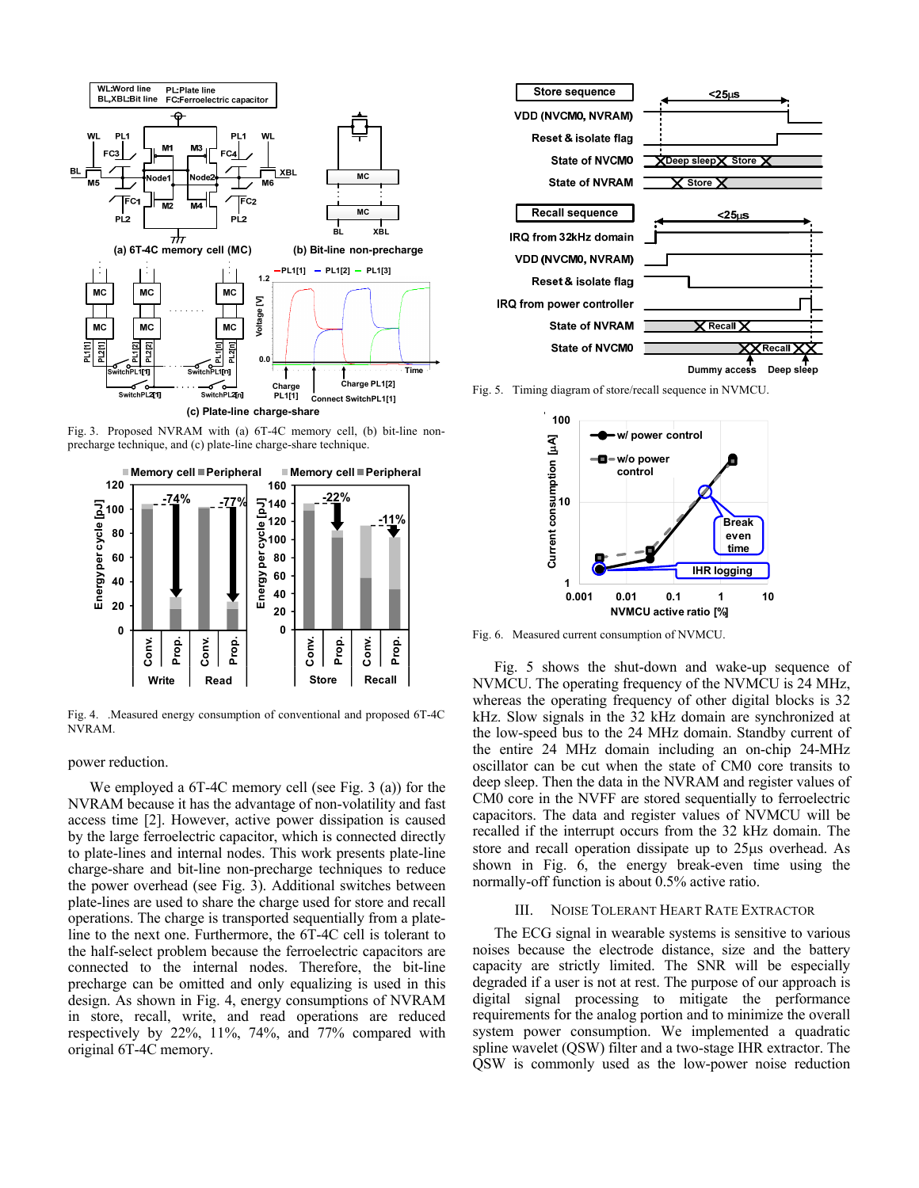

**(c) Plate-line charge-share**

Fig. 3. Proposed NVRAM with (a) 6T-4C memory cell, (b) bit-line nonprecharge technique, and (c) plate-line charge-share technique.



Fig. 4. .Measured energy consumption of conventional and proposed 6T-4C NVRAM.

#### power reduction.

We employed a 6T-4C memory cell (see Fig. 3 (a)) for the NVRAM because it has the advantage of non-volatility and fast access time [2]. However, active power dissipation is caused by the large ferroelectric capacitor, which is connected directly to plate-lines and internal nodes. This work presents plate-line charge-share and bit-line non-precharge techniques to reduce the power overhead (see Fig. 3). Additional switches between plate-lines are used to share the charge used for store and recall operations. The charge is transported sequentially from a plateline to the next one. Furthermore, the 6T-4C cell is tolerant to the half-select problem because the ferroelectric capacitors are connected to the internal nodes. Therefore, the bit-line precharge can be omitted and only equalizing is used in this design. As shown in Fig. 4, energy consumptions of NVRAM in store, recall, write, and read operations are reduced respectively by 22%, 11%, 74%, and 77% compared with original 6T-4C memory.



Fig. 5. Timing diagram of store/recall sequence in NVMCU.



Fig. 6. Measured current consumption of NVMCU.

Fig. 5 shows the shut-down and wake-up sequence of NVMCU. The operating frequency of the NVMCU is 24 MHz, whereas the operating frequency of other digital blocks is 32 kHz. Slow signals in the 32 kHz domain are synchronized at the low-speed bus to the 24 MHz domain. Standby current of the entire 24 MHz domain including an on-chip 24-MHz oscillator can be cut when the state of CM0 core transits to deep sleep. Then the data in the NVRAM and register values of CM0 core in the NVFF are stored sequentially to ferroelectric capacitors. The data and register values of NVMCU will be recalled if the interrupt occurs from the 32 kHz domain. The store and recall operation dissipate up to 25µs overhead. As shown in Fig. 6, the energy break-even time using the normally-off function is about 0.5% active ratio.

#### III. NOISE TOLERANT HEART RATE EXTRACTOR

The ECG signal in wearable systems is sensitive to various noises because the electrode distance, size and the battery capacity are strictly limited. The SNR will be especially degraded if a user is not at rest. The purpose of our approach is digital signal processing to mitigate the performance requirements for the analog portion and to minimize the overall system power consumption. We implemented a quadratic spline wavelet (QSW) filter and a two-stage IHR extractor. The QSW is commonly used as the low-power noise reduction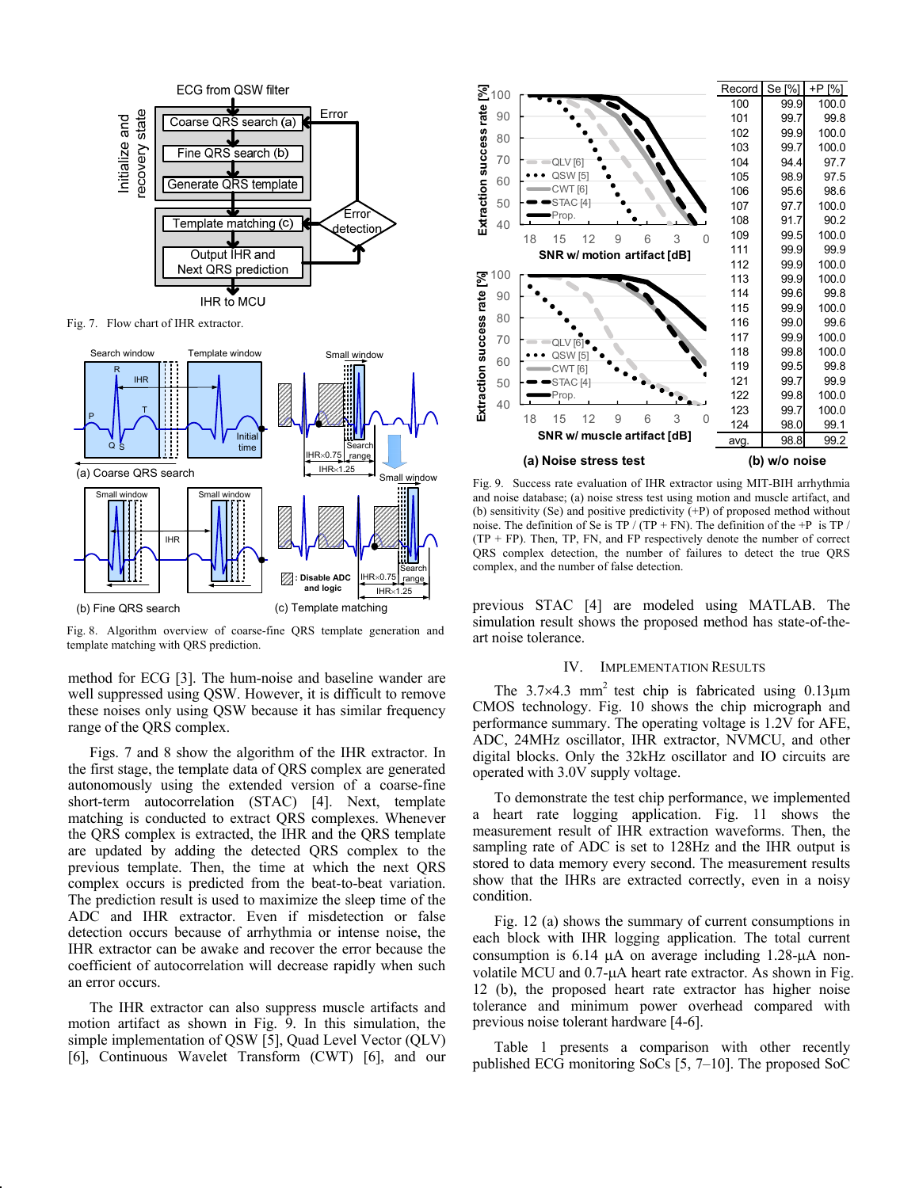

Fig. 7. Flow chart of IHR extractor.



Fig. 8. Algorithm overview of coarse-fine QRS template generation and template matching with QRS prediction.

method for ECG [3]. The hum-noise and baseline wander are well suppressed using QSW. However, it is difficult to remove these noises only using QSW because it has similar frequency range of the QRS complex.

Figs. 7 and 8 show the algorithm of the IHR extractor. In the first stage, the template data of QRS complex are generated autonomously using the extended version of a coarse-fine short-term autocorrelation (STAC) [4]. Next, template matching is conducted to extract QRS complexes. Whenever the QRS complex is extracted, the IHR and the QRS template are updated by adding the detected QRS complex to the previous template. Then, the time at which the next QRS complex occurs is predicted from the beat-to-beat variation. The prediction result is used to maximize the sleep time of the ADC and IHR extractor. Even if misdetection or false detection occurs because of arrhythmia or intense noise, the IHR extractor can be awake and recover the error because the coefficient of autocorrelation will decrease rapidly when such an error occurs.

The IHR extractor can also suppress muscle artifacts and motion artifact as shown in Fig. 9. In this simulation, the simple implementation of QSW [5], Quad Level Vector (QLV) [6], Continuous Wavelet Transform (CWT) [6], and our



Fig. 9. Success rate evaluation of IHR extractor using MIT-BIH arrhythmia and noise database; (a) noise stress test using motion and muscle artifact, and (b) sensitivity (Se) and positive predictivity  $(+P)$  of proposed method without noise. The definition of Se is TP / (TP + FN). The definition of the +P is TP /  $(TP + FP)$ . Then, TP, FN, and FP respectively denote the number of correct QRS complex detection, the number of failures to detect the true QRS complex, and the number of false detection.

previous STAC [4] are modeled using MATLAB. The simulation result shows the proposed method has state-of-theart noise tolerance.

# IV. IMPLEMENTATION RESULTS

The  $3.7 \times 4.3$  mm<sup>2</sup> test chip is fabricated using 0.13 $\mu$ m CMOS technology. Fig. 10 shows the chip micrograph and performance summary. The operating voltage is 1.2V for AFE, ADC, 24MHz oscillator, IHR extractor, NVMCU, and other digital blocks. Only the 32kHz oscillator and IO circuits are operated with 3.0V supply voltage.

To demonstrate the test chip performance, we implemented a heart rate logging application. Fig. 11 shows the measurement result of IHR extraction waveforms. Then, the sampling rate of ADC is set to 128Hz and the IHR output is stored to data memory every second. The measurement results show that the IHRs are extracted correctly, even in a noisy condition.

Fig. 12 (a) shows the summary of current consumptions in each block with IHR logging application. The total current consumption is  $6.14 \mu A$  on average including  $1.28 \mu A$  nonvolatile MCU and 0.7-µA heart rate extractor. As shown in Fig. 12 (b), the proposed heart rate extractor has higher noise tolerance and minimum power overhead compared with previous noise tolerant hardware [4-6].

Table 1 presents a comparison with other recently published ECG monitoring SoCs [5, 7–10]. The proposed SoC